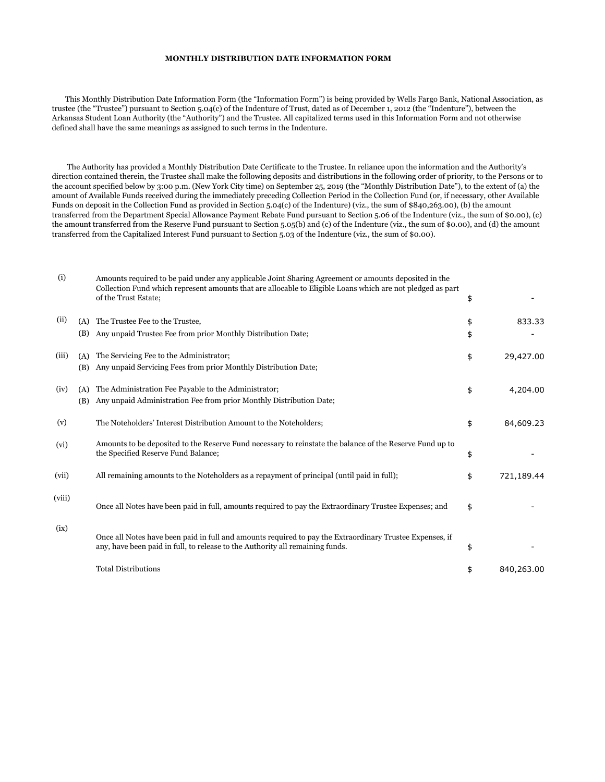## **MONTHLY DISTRIBUTION DATE INFORMATION FORM**

 This Monthly Distribution Date Information Form (the "Information Form") is being provided by Wells Fargo Bank, National Association, as trustee (the "Trustee") pursuant to Section 5.04(c) of the Indenture of Trust, dated as of December 1, 2012 (the "Indenture"), between the Arkansas Student Loan Authority (the "Authority") and the Trustee. All capitalized terms used in this Information Form and not otherwise defined shall have the same meanings as assigned to such terms in the Indenture.

 The Authority has provided a Monthly Distribution Date Certificate to the Trustee. In reliance upon the information and the Authority's direction contained therein, the Trustee shall make the following deposits and distributions in the following order of priority, to the Persons or to the account specified below by 3:00 p.m. (New York City time) on September 25, 2019 (the "Monthly Distribution Date"), to the extent of (a) the amount of Available Funds received during the immediately preceding Collection Period in the Collection Fund (or, if necessary, other Available Funds on deposit in the Collection Fund as provided in Section 5.04(c) of the Indenture) (viz., the sum of \$840,263.00), (b) the amount transferred from the Department Special Allowance Payment Rebate Fund pursuant to Section 5.06 of the Indenture (viz., the sum of \$0.00), (c) the amount transferred from the Reserve Fund pursuant to Section 5.05(b) and (c) of the Indenture (viz., the sum of \$0.00), and (d) the amount transferred from the Capitalized Interest Fund pursuant to Section 5.03 of the Indenture (viz., the sum of \$0.00).

| (i)    |            | Amounts required to be paid under any applicable Joint Sharing Agreement or amounts deposited in the<br>Collection Fund which represent amounts that are allocable to Eligible Loans which are not pledged as part<br>of the Trust Estate; | \$       |            |
|--------|------------|--------------------------------------------------------------------------------------------------------------------------------------------------------------------------------------------------------------------------------------------|----------|------------|
| (ii)   | (A)<br>(B) | The Trustee Fee to the Trustee,<br>Any unpaid Trustee Fee from prior Monthly Distribution Date;                                                                                                                                            | \$<br>\$ | 833.33     |
| (iii)  | (A)<br>(B) | The Servicing Fee to the Administrator;<br>Any unpaid Servicing Fees from prior Monthly Distribution Date;                                                                                                                                 | \$       | 29,427.00  |
| (iv)   | (A)<br>(B) | The Administration Fee Payable to the Administrator;<br>Any unpaid Administration Fee from prior Monthly Distribution Date;                                                                                                                | \$       | 4,204.00   |
| (v)    |            | The Noteholders' Interest Distribution Amount to the Noteholders;                                                                                                                                                                          | \$       | 84,609.23  |
| (vi)   |            | Amounts to be deposited to the Reserve Fund necessary to reinstate the balance of the Reserve Fund up to<br>the Specified Reserve Fund Balance;                                                                                            | \$       |            |
| (vii)  |            | All remaining amounts to the Noteholders as a repayment of principal (until paid in full);                                                                                                                                                 | \$       | 721,189.44 |
| (viii) |            | Once all Notes have been paid in full, amounts required to pay the Extraordinary Trustee Expenses; and                                                                                                                                     | \$       |            |
| (ix)   |            | Once all Notes have been paid in full and amounts required to pay the Extraordinary Trustee Expenses, if<br>any, have been paid in full, to release to the Authority all remaining funds.                                                  | \$       |            |
|        |            | <b>Total Distributions</b>                                                                                                                                                                                                                 | \$       | 840,263.00 |